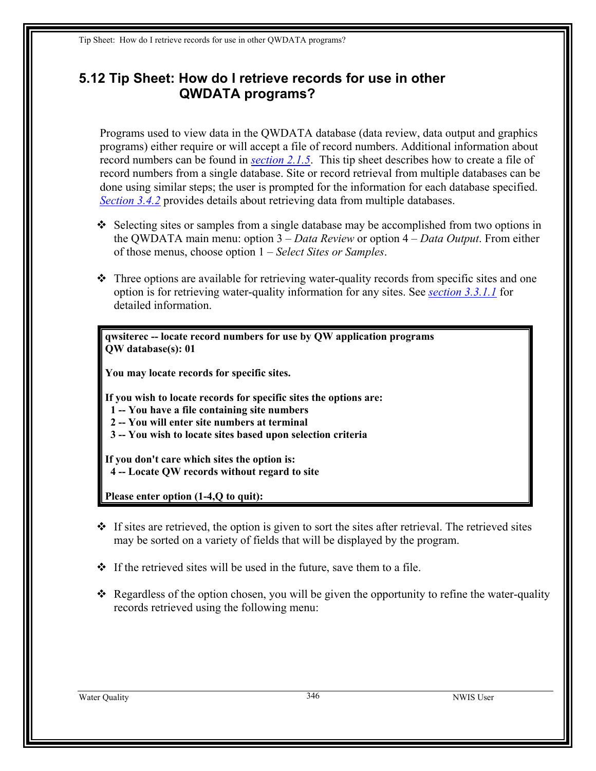Tip Sheet: How do I retrieve records for use in other QWDATA programs?

## **5.12 Tip Sheet: How do I retrieve records for use in other QWDATA programs?**

Programs used to view data in the QWDATA database (data review, data output and graphics programs) either require or will accept a file of record numbers. Additional information about record numbers can be found in *section 2.1.5*. This tip sheet describes how to create a file of record numbers from a single database. Site or record retrieval from multiple databases can be done using similar steps; the user is prompted for the information for each database specified. *Section 3.4.2* provides details about retrieving data from multiple databases.

- $\triangleleft$  Selecting sites or samples from a single database may be accomplished from two options in the QWDATA main menu: option 3 – *Data Review* or option 4 – *Data Output*. From either of those menus, choose option 1 – *Select Sites or Samples*.
- $\hat{\cdot}$  Three options are available for retrieving water-quality records from specific sites and one option is for retrieving water-quality information for any sites. See *[section 3.3.1.1](#page-1-0)* for detailed information.

**qwsiterec -- locate record numbers for use by QW application programs QW database(s): 01** 

**You may locate records for specific sites.** 

**If you wish to locate records for specific sites the options are:** 

- **1 -- You have a file containing site numbers**
- **2 -- You will enter site numbers at terminal**
- **3 -- You wish to locate sites based upon selection criteria**

**If you don't care which sites the option is: 4 -- Locate QW records without regard to site** 

**Please enter option (1-4,Q to quit):** 

- $\div$  If sites are retrieved, the option is given to sort the sites after retrieval. The retrieved sites may be sorted on a variety of fields that will be displayed by the program.
- $\cdot \cdot$  If the retrieved sites will be used in the future, save them to a file.
- $\triangleleft$  Regardless of the option chosen, you will be given the opportunity to refine the water-quality records retrieved using the following menu:

Water Ouality 346 NWIS User